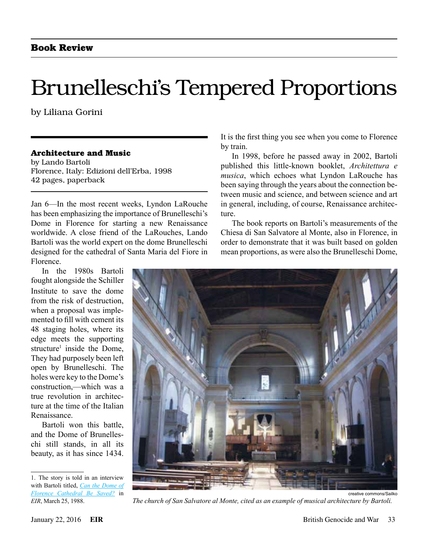## Brunelleschi's Tempered Proportions

by Liliana Gorini

#### **Architecture and Music**

by Lando Bartoli Florence, Italy: Edizioni dell'Erba, 1998 42 pages, paperback

Jan 6—In the most recent weeks, Lyndon LaRouche has been emphasizing the importance of Brunelleschi's Dome in Florence for starting a new Renaissance worldwide. A close friend of the LaRouches, Lando Bartoli was the world expert on the dome Brunelleschi designed for the cathedral of Santa Maria del Fiore in Florence.

In the 1980s Bartoli fought alongside the Schiller Institute to save the dome from the risk of destruction, when a proposal was implemented to fill with cement its 48 staging holes, where its edge meets the supporting structure<sup>1</sup> inside the Dome, They had purposely been left open by Brunelleschi. The holes were key to the Dome's construction,—which was a true revolution in architecture at the time of the Italian Renaissance.

Bartoli won this battle, and the Dome of Brunelleschi still stands, in all its beauty, as it has since 1434.

It is the first thing you see when you come to Florence by train.

In 1998, before he passed away in 2002, Bartoli published this little-known booklet, *Architettura e musica*, which echoes what Lyndon LaRouche has been saying through the years about the connection between music and science, and between science and art in general, including, of course, Renaissance architecture.

The book reports on Bartoli's measurements of the Chiesa di San Salvatore al Monte, also in Florence, in order to demonstrate that it was built based on golden mean proportions, as were also the Brunelleschi Dome,



*The church of San Salvatore al Monte, cited as an example of musical architecture by Bartoli.*

<sup>1.</sup> The story is told in an interview with Bartoli titled, *[Can the Dome of](http://larouchepub.com/eiw/public/1988/eirv15n13-19880325/eirv15n13-19880325_020-dr_lando_bartoli.pdf) [Florence Cathedral Be Saved?](http://larouchepub.com/eiw/public/1988/eirv15n13-19880325/eirv15n13-19880325_020-dr_lando_bartoli.pdf)* in *EIR*, March 25, 1988.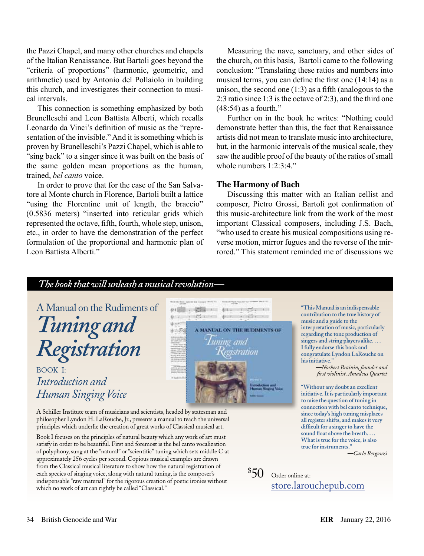the Pazzi Chapel, and many other churches and chapels of the Italian Renaissance. But Bartoli goes beyond the "criteria of proportions" (harmonic, geometric, and arithmetic) used by Antonio del Pollaiolo in building this church, and investigates their connection to musical intervals.

This connection is something emphasized by both Brunelleschi and Leon Battista Alberti, which recalls Leonardo da Vinci's definition of music as the "representation of the invisible." And it is something which is proven by Brunelleschi's Pazzi Chapel, which is able to "sing back" to a singer since it was built on the basis of the same golden mean proportions as the human, trained, *bel canto* voice.

In order to prove that for the case of the San Salvatore al Monte church in Florence, Bartoli built a lattice "using the Florentine unit of length, the braccio" (0.5836 meters) "inserted into reticular grids which represented the octave, fifth, fourth, whole step, unison, etc., in order to have the demonstration of the perfect formulation of the proportional and harmonic plan of Leon Battista Alberti."

Measuring the nave, sanctuary, and other sides of the church, on this basis, Bartoli came to the following conclusion: "Translating these ratios and numbers into musical terms, you can define the first one (14:14) as a unison, the second one  $(1:3)$  as a fifth (analogous to the 2:3 ratio since 1:3 is the octave of 2:3), and the third one (48:54) as a fourth."

Further on in the book he writes: "Nothing could demonstrate better than this, the fact that Renaissance artists did not mean to translate music into architecture, but, in the harmonic intervals of the musical scale, they saw the audible proof of the beauty of the ratios of small whole numbers  $1:2:3:4"$ 

#### **The Harmony of Bach**

Discussing this matter with an Italian cellist and composer, Pietro Grossi, Bartoli got confirmation of this music-architecture link from the work of the most important Classical composers, including J.S. Bach, "who used to create his musical compositions using reverse motion, mirror fugues and the reverse of the mirrored." This statement reminded me of discussions we

### *The book that will unleash a musical revolution—*



from the Classical musical literature to show how the natural registration of each species of singing voice, along with natural tuning, is the composer's indispensable "raw material" for the rigorous creation of poetic ironies without which no work of art can rightly be called "Classical."  $\$50$  Order online at:

store.larouchepub.com